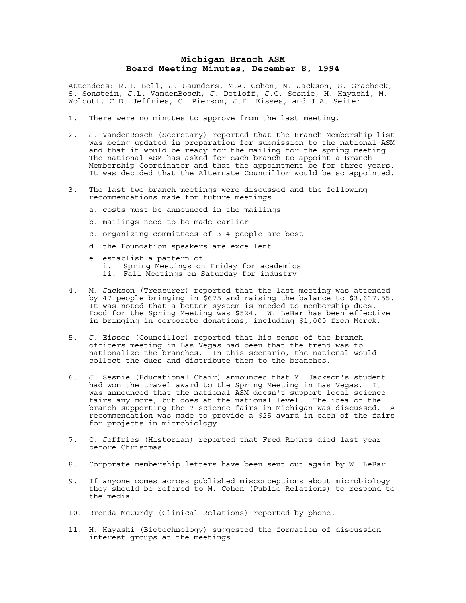## **Michigan Branch ASM Board Meeting Minutes, December 8, 1994**

Attendees: R.H. Bell, J. Saunders, M.A. Cohen, M. Jackson, S. Gracheck, S. Sonstein, J.L. VandenBosch, J. Detloff, J.C. Sesnie, H. Hayashi, M. Wolcott, C.D. Jeffries, C. Pierson, J.F. Eisses, and J.A. Seiter.

- 1. There were no minutes to approve from the last meeting.
- 2. J. VandenBosch (Secretary) reported that the Branch Membership list was being updated in preparation for submission to the national ASM and that it would be ready for the mailing for the spring meeting. The national ASM has asked for each branch to appoint a Branch Membership Coordinator and that the appointment be for three years. It was decided that the Alternate Councillor would be so appointed.
- 3. The last two branch meetings were discussed and the following recommendations made for future meetings:
	- a. costs must be announced in the mailings
	- b. mailings need to be made earlier
	- c. organizing committees of 3-4 people are best
	- d. the Foundation speakers are excellent
	- e. establish a pattern of i. Spring Meetings on Friday for academics ii. Fall Meetings on Saturday for industry
- 4. M. Jackson (Treasurer) reported that the last meeting was attended by 47 people bringing in \$675 and raising the balance to \$3,617.55. It was noted that a better system is needed to membership dues. Food for the Spring Meeting was \$524. W. LeBar has been effective in bringing in corporate donations, including \$1,000 from Merck.
- 5. J. Eisses (Councillor) reported that his sense of the branch officers meeting in Las Vegas had been that the trend was to nationalize the branches. In this scenario, the national would collect the dues and distribute them to the branches.
- 6. J. Sesnie (Educational Chair) announced that M. Jackson's student had won the travel award to the Spring Meeting in Las Vegas. It was announced that the national ASM doesn't support local science fairs any more, but does at the national level. The idea of the branch supporting the 7 science fairs in Michigan was discussed. A recommendation was made to provide a \$25 award in each of the fairs for projects in microbiology.
- 7. C. Jeffries (Historian) reported that Fred Rights died last year before Christmas.
- 8. Corporate membership letters have been sent out again by W. LeBar.
- 9. If anyone comes across published misconceptions about microbiology they should be refered to M. Cohen (Public Relations) to respond to the media.
- 10. Brenda McCurdy (Clinical Relations) reported by phone.
- 11. H. Hayashi (Biotechnology) suggested the formation of discussion interest groups at the meetings.